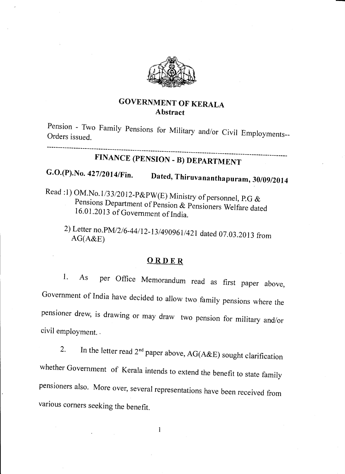

### GOVERNMENT OF KERALA Abstract

Pension - Two Family pensions rension - Two Family Pensions for Military and/or Civil Employments-<br>Orders issued. -----------------

# FINANCE (PENSION. B) DEPARTMENT

## $G.O.(P).No. 427/2014/Fin.$  Dated, Thiruvananthapuram, 30/09/2014

- Read :1) OM.No.1/33/2012-P&PW(E) Ministry of personnel, P.G & Pensions Department of Pension & Pensioners Welfare dated 16.01.2013 of Government of India.
	- 2) Letter no. PM/2/6-44/12-13/490961/421 dated 07.03.2013 from AG(A&E)

#### ORDER

1. As per Office Memorandum read as first paper above, Government of India have decided to allow two family pensions where the pensioner drew, is drawing or may draw two pension for military and/or civil employment. .

2. In the letter read  $2^{nd}$  paper above, AG(A&E) sought clarification whether Government of Kerala intends to extend the benefit to state family pensioners also. More over, several representations have been received from various corners seeking the benefit.

 $\mathbf{1}$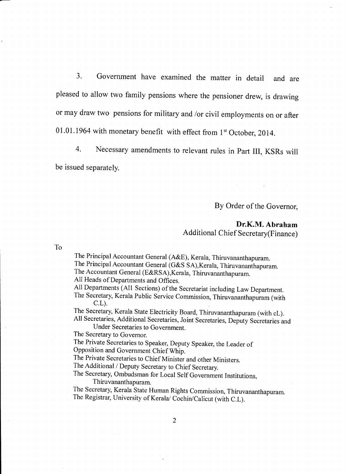3. Government have examined the matter in detail and are pleased to allow two family pensions where the pensioner drew, is drawing or may draw two pensions for military and /or civil employments on or after 01.01.1964 with monetary benefit with effect from  $1<sup>st</sup>$  October, 2014.

4. Necessary amendments to relevant rules in Part III, KSRs will be issued separately.

By Order of the Governor,

#### Dr.K.M. Abraham Additional Chief Secretary(Finance)

To

The Principal Accountant General (A&E), Kerala, Thiruvananthapuram.

The Principal Accountant General (G&S SA), Kerala, Thiruvananthapuram.

The Accountant General (E&RSA), Kerala, Thiruvananthapuram.

All Heads of Departments and Offices.

All Departments (All Sections) of the Secretariat including Law Department.

The Secretary, Kerala Public Service Commission, Thiruvananthapuram (with C.L).<br>The Secretary, Kerala State Electricity Board, Thiruvananthapuram (with cL).

All Secretaries, Additional Secretaries, Joint Secretaries, Deputy Secretaries and

Under Secretaries to Government.

The Secretary to Governor.

The Private Secretaries to Speaker, Deputy Speaker, the Leader of Opposition and Government Chief Whip.

The Private Secretaries to chief Minister and other Ministers.

The Additional /Deputy Secretary to Chief Secretary.

The secretary, ombudsman for Local Self Government Institutions, Thiruvananthapuram.

The Secretary, Kerala State Human Rights commission, Thiruvananthapuram. The Registrar, University of Kerala/ Cochin/Calicut (with C.L).